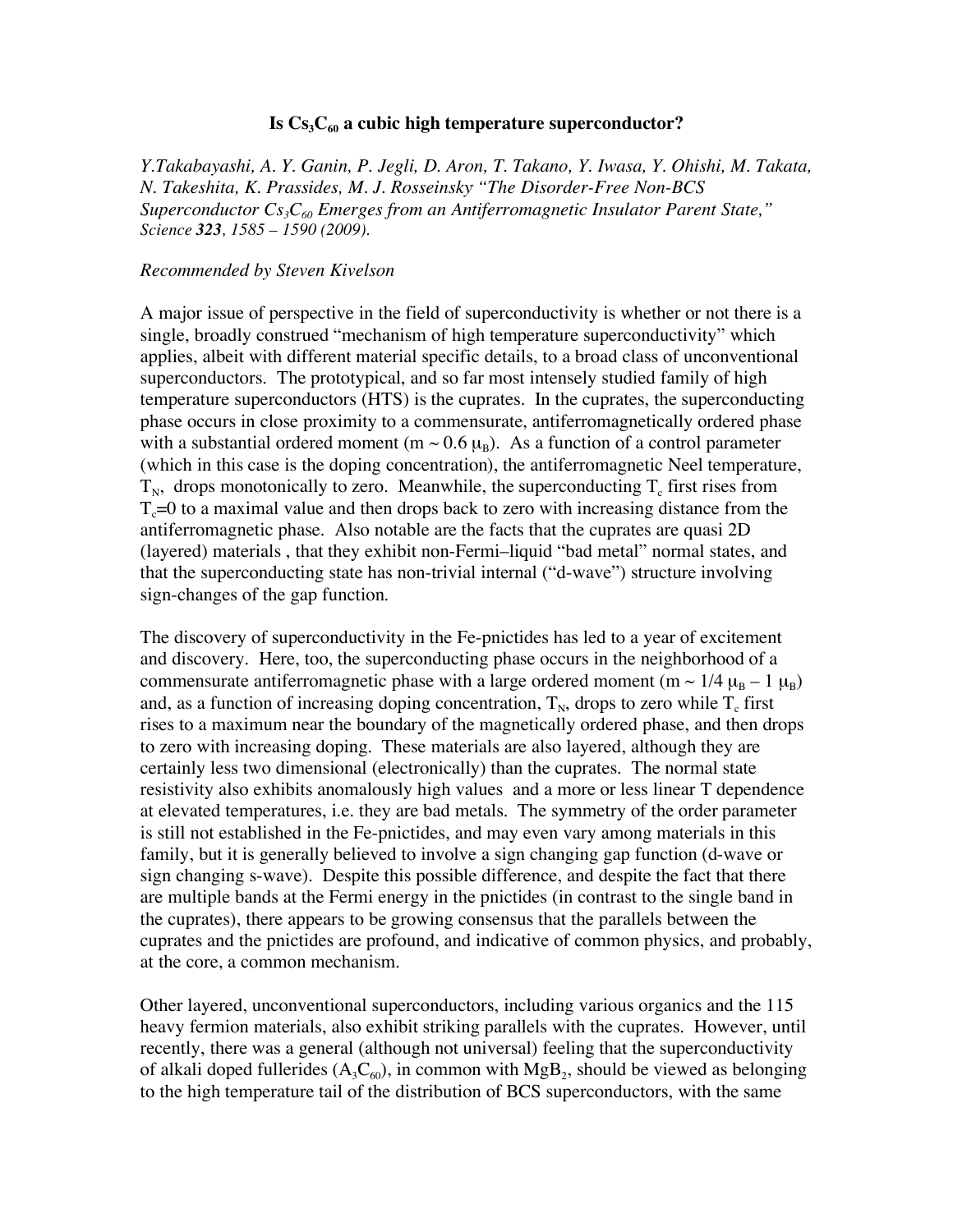## Is  $Cs<sub>3</sub>C<sub>60</sub>$  a cubic high temperature superconductor?

*Y.Takabayashi, A. Y. Ganin, P. Jegli, D. Aron, T. Takano, Y. Iwasa, Y. Ohishi, M. Takata, N. Takeshita, K. Prassides, M. J. Rosseinsky, "The Disorder-Free Non-BCS*  Superconductor  $Cs<sub>3</sub>C<sub>60</sub>$  Emerges from an Antiferromagnetic Insulator Parent State," *Science 323, 1585 – 1590 (2009).*

## *Recommended by Steven Kivelson*

A major issue of perspective in the field of superconductivity is whether or not there is a single, broadly construed "mechanism of high temperature superconductivity" which applies, albeit with different material specific details, to a broad class of unconventional superconductors. The prototypical, and so far most intensely studied family of high temperature superconductors (HTS) is the cuprates. In the cuprates, the superconducting phase occurs in close proximity to a commensurate, antiferromagnetically ordered phase with a substantial ordered moment (m  $\sim$  0.6  $\mu_B$ ). As a function of a control parameter (which in this case is the doping concentration), the antiferromagnetic Neel temperature,  $T_N$ , drops monotonically to zero. Meanwhile, the superconducting  $T_c$  first rises from  $T_c=0$  to a maximal value and then drops back to zero with increasing distance from the antiferromagnetic phase. Also notable are the facts that the cuprates are quasi 2D (layered) materials , that they exhibit non-Fermi–liquid "bad metal" normal states, and that the superconducting state has non-trivial internal ("d-wave") structure involving sign-changes of the gap function.

The discovery of superconductivity in the Fe-pnictides has led to a year of excitement and discovery. Here, too, the superconducting phase occurs in the neighborhood of a commensurate antiferromagnetic phase with a large ordered moment (m ~ 1/4  $\mu_B$  – 1  $\mu_B$ ) and, as a function of increasing doping concentration,  $T_N$ , drops to zero while  $T_c$  first rises to a maximum near the boundary of the magnetically ordered phase, and then drops to zero with increasing doping. These materials are also layered, although they are certainly less two dimensional (electronically) than the cuprates. The normal state resistivity also exhibits anomalously high values and a more or less linear T dependence at elevated temperatures, i.e. they are bad metals. The symmetry of the order parameter is still not established in the Fe-pnictides, and may even vary among materials in this family, but it is generally believed to involve a sign changing gap function (d-wave or sign changing s-wave). Despite this possible difference, and despite the fact that there are multiple bands at the Fermi energy in the pnictides (in contrast to the single band in the cuprates), there appears to be growing consensus that the parallels between the cuprates and the pnictides are profound, and indicative of common physics, and probably, at the core, a common mechanism.

Other layered, unconventional superconductors, including various organics and the 115 heavy fermion materials, also exhibit striking parallels with the cuprates. However, until recently, there was a general (although not universal) feeling that the superconductivity of alkali doped fullerides  $(A_3C_{60})$ , in common with MgB<sub>2</sub>, should be viewed as belonging to the high temperature tail of the distribution of BCS superconductors, with the same